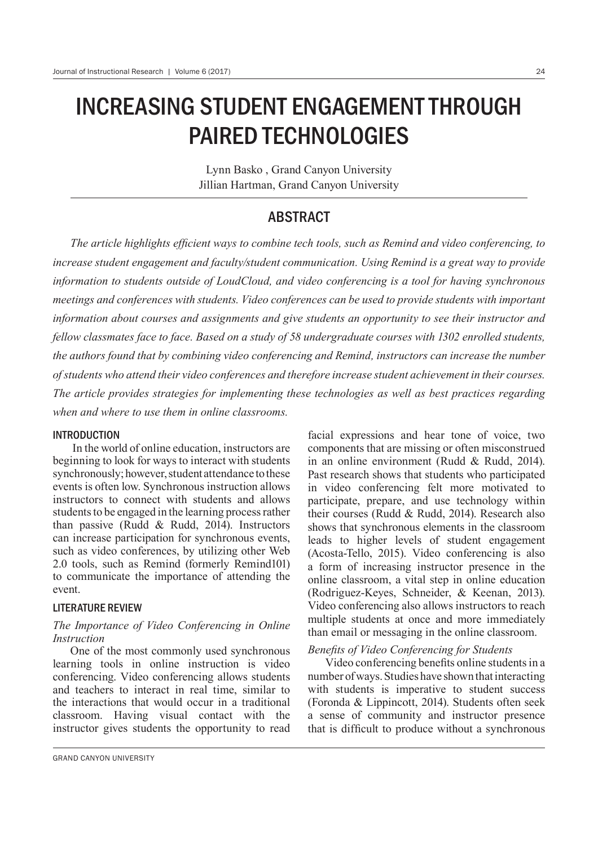# INCREASING STUDENT ENGAGEMENT THROUGH PAIRED TECHNOLOGIES

Lynn Basko , Grand Canyon University Jillian Hartman, Grand Canyon University

# **ABSTRACT**

The article highlights efficient ways to combine tech tools, such as Remind and video conferencing, to *increase student engagement and faculty/student communication. Using Remind is a great way to provide information to students outside of LoudCloud, and video conferencing is a tool for having synchronous meetings and conferences with students. Video conferences can be used to provide students with important information about courses and assignments and give students an opportunity to see their instructor and fellow classmates face to face. Based on a study of 58 undergraduate courses with 1302 enrolled students, the authors found that by combining video conferencing and Remind, instructors can increase the number of students who attend their video conferences and therefore increase student achievement in their courses. The article provides strategies for implementing these technologies as well as best practices regarding when and where to use them in online classrooms.*

#### INTRODUCTION

 In the world of online education, instructors are beginning to look for ways to interact with students synchronously; however, student attendance to these events is often low. Synchronous instruction allows instructors to connect with students and allows students to be engaged in the learning process rather than passive (Rudd & Rudd, 2014). Instructors can increase participation for synchronous events, such as video conferences, by utilizing other Web 2.0 tools, such as Remind (formerly Remind101) to communicate the importance of attending the event.

#### LITERATURE REVIEW

#### *The Importance of Video Conferencing in Online Instruction*

One of the most commonly used synchronous learning tools in online instruction is video conferencing. Video conferencing allows students and teachers to interact in real time, similar to the interactions that would occur in a traditional classroom. Having visual contact with the instructor gives students the opportunity to read facial expressions and hear tone of voice, two components that are missing or often misconstrued in an online environment (Rudd & Rudd, 2014). Past research shows that students who participated in video conferencing felt more motivated to participate, prepare, and use technology within their courses (Rudd & Rudd, 2014). Research also shows that synchronous elements in the classroom leads to higher levels of student engagement (Acosta-Tello, 2015). Video conferencing is also a form of increasing instructor presence in the online classroom, a vital step in online education (Rodriguez-Keyes, Schneider,  $\&$  Keenan, 2013). Video conferencing also allows instructors to reach multiple students at once and more immediately than email or messaging in the online classroom.

# *Benefits of Video Conferencing for Students*

Video conferencing benefits online students in a number of ways. Studies have shown that interacting with students is imperative to student success (Foronda & Lippincott, 2014). Students often seek a sense of community and instructor presence that is difficult to produce without a synchronous

GRAND CANYON UNIVERSITY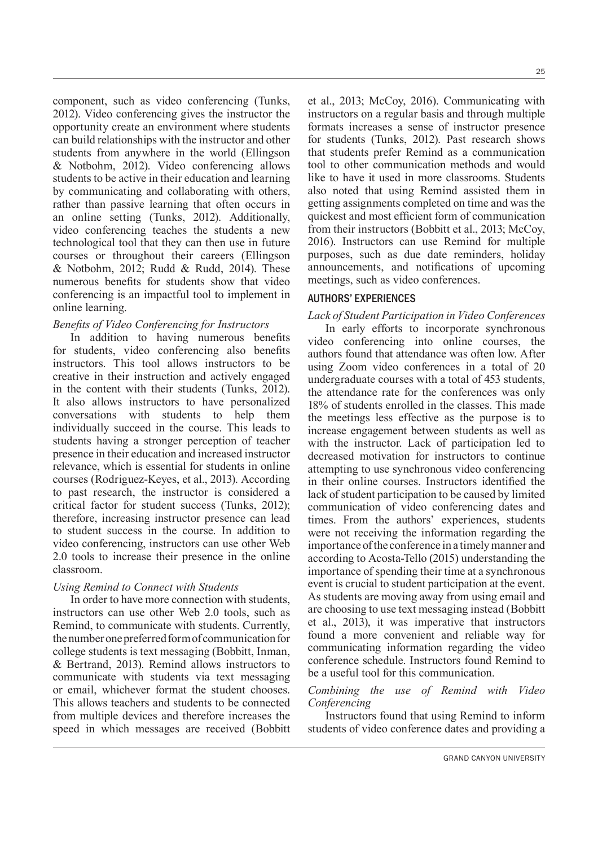component, such as video conferencing (Tunks, 2012). Video conferencing gives the instructor the opportunity create an environment where students can build relationships with the instructor and other students from anywhere in the world (Ellingson & Notbohm, 2012). Video conferencing allows students to be active in their education and learning by communicating and collaborating with others, rather than passive learning that often occurs in an online setting (Tunks, 2012). Additionally, video conferencing teaches the students a new technological tool that they can then use in future courses or throughout their careers (Ellingson & Notbohm, 2012; Rudd & Rudd, 2014). These numerous benefits for students show that video conferencing is an impactful tool to implement in online learning.

# *Benefits of Video Conferencing for Instructors*

In addition to having numerous benefits for students, video conferencing also benefits instructors. This tool allows instructors to be creative in their instruction and actively engaged in the content with their students (Tunks, 2012). It also allows instructors to have personalized conversations with students to help them individually succeed in the course. This leads to students having a stronger perception of teacher presence in their education and increased instructor relevance, which is essential for students in online courses (Rodriguez-Keyes, et al., 2013). According to past research, the instructor is considered a critical factor for student success (Tunks, 2012); therefore, increasing instructor presence can lead to student success in the course. In addition to video conferencing, instructors can use other Web 2.0 tools to increase their presence in the online classroom.

# *Using Remind to Connect with Students*

In order to have more connection with students, instructors can use other Web 2.0 tools, such as Remind, to communicate with students. Currently, the number one preferred form of communication for college students is text messaging (Bobbitt, Inman,  $&$  Bertrand, 2013). Remind allows instructors to communicate with students via text messaging or email, whichever format the student chooses. This allows teachers and students to be connected from multiple devices and therefore increases the speed in which messages are received (Bobbitt et al., 2013; McCoy, 2016). Communicating with instructors on a regular basis and through multiple formats increases a sense of instructor presence for students (Tunks, 2012). Past research shows that students prefer Remind as a communication tool to other communication methods and would like to have it used in more classrooms. Students also noted that using Remind assisted them in getting assignments completed on time and was the quickest and most efficient form of communication from their instructors (Bobbitt et al., 2013; McCoy, 2016). Instructors can use Remind for multiple purposes, such as due date reminders, holiday announcements, and notifications of upcoming meetings, such as video conferences.

# AUTHORS' EXPERIENCES

# *Lack of Student Participation in Video Conferences*

In early efforts to incorporate synchronous video conferencing into online courses, the authors found that attendance was often low. After using Zoom video conferences in a total of 20 undergraduate courses with a total of 453 students, the attendance rate for the conferences was only 18% of students enrolled in the classes. This made the meetings less effective as the purpose is to increase engagement between students as well as with the instructor. Lack of participation led to decreased motivation for instructors to continue attempting to use synchronous video conferencing in their online courses. Instructors identified the lack of student participation to be caused by limited communication of video conferencing dates and times. From the authors' experiences, students were not receiving the information regarding the importance of the conference in a timely manner and according to Acosta-Tello (2015) understanding the importance of spending their time at a synchronous event is crucial to student participation at the event. As students are moving away from using email and are choosing to use text messaging instead (Bobbitt et al., 2013), it was imperative that instructors found a more convenient and reliable way for communicating information regarding the video conference schedule. Instructors found Remind to be a useful tool for this communication.

# *Combining the use of Remind with Video Conferencing*

Instructors found that using Remind to inform students of video conference dates and providing a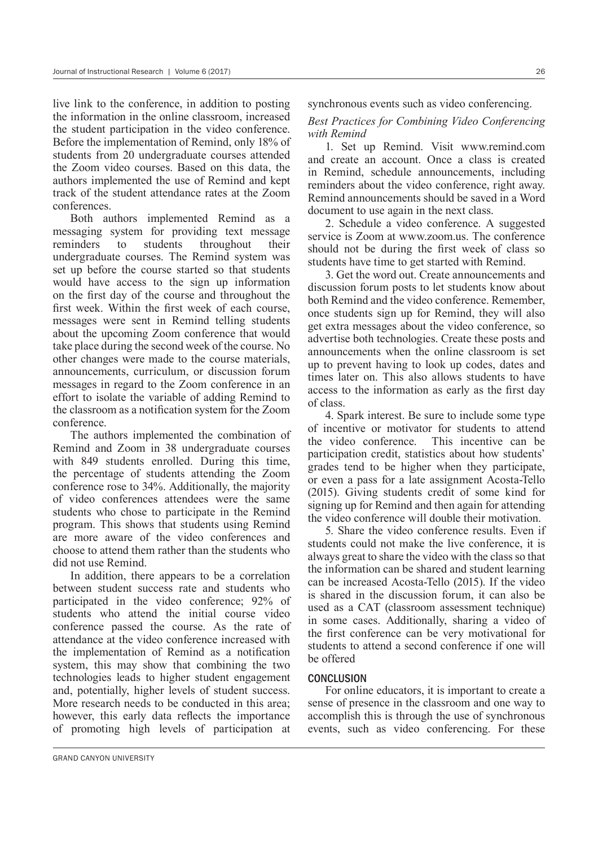live link to the conference, in addition to posting the information in the online classroom, increased the student participation in the video conference. Before the implementation of Remind, only 18% of students from 20 undergraduate courses attended the Zoom video courses. Based on this data, the authors implemented the use of Remind and kept track of the student attendance rates at the Zoom conferences.

Both authors implemented Remind as a messaging system for providing text message reminders to students throughout their undergraduate courses. The Remind system was set up before the course started so that students would have access to the sign up information on the first day of the course and throughout the first week. Within the first week of each course, messages were sent in Remind telling students about the upcoming Zoom conference that would take place during the second week of the course. No other changes were made to the course materials, announcements, curriculum, or discussion forum messages in regard to the Zoom conference in an effort to isolate the variable of adding Remind to the classroom as a notification system for the Zoom conference.

The authors implemented the combination of Remind and Zoom in 38 undergraduate courses with 849 students enrolled. During this time, the percentage of students attending the Zoom conference rose to  $34\%$ . Additionally, the majority of video conferences attendees were the same students who chose to participate in the Remind program. This shows that students using Remind are more aware of the video conferences and choose to attend them rather than the students who did not use Remind.

In addition, there appears to be a correlation between student success rate and students who participated in the video conference; 92% of students who attend the initial course video conference passed the course. As the rate of attendance at the video conference increased with the implementation of Remind as a notification system, this may show that combining the two technologies leads to higher student engagement and, potentially, higher levels of student success. More research needs to be conducted in this area; however, this early data reflects the importance of promoting high levels of participation at synchronous events such as video conferencing.

#### *Best Practices for Combining Video Conferencing with Remind*

1. Set up Remind. Visit www.remind.com and create an account. Once a class is created in Remind, schedule announcements, including reminders about the video conference, right away. Remind announcements should be saved in a Word document to use again in the next class.

2. Schedule a video conference. A suggested service is Zoom at www.zoom.us. The conference should not be during the first week of class so students have time to get started with Remind.

3. Get the word out. Create announcements and discussion forum posts to let students know about both Remind and the video conference. Remember, once students sign up for Remind, they will also get extra messages about the video conference, so advertise both technologies. Create these posts and announcements when the online classroom is set up to prevent having to look up codes, dates and times later on. This also allows students to have access to the information as early as the first day of class.

4. Spark interest. Be sure to include some type of incentive or motivator for students to attend the video conference. This incentive can be participation credit, statistics about how students' grades tend to be higher when they participate, or even a pass for a late assignment Acosta-Tello (2015). Giving students credit of some kind for signing up for Remind and then again for attending the video conference will double their motivation.

5. Share the video conference results. Even if students could not make the live conference, it is always great to share the video with the class so that the information can be shared and student learning can be increased Acosta-Tello (2015). If the video is shared in the discussion forum, it can also be used as a CAT (classroom assessment technique) in some cases. Additionally, sharing a video of the first conference can be very motivational for students to attend a second conference if one will be offered

# **CONCLUSION**

For online educators, it is important to create a sense of presence in the classroom and one way to accomplish this is through the use of synchronous events, such as video conferencing. For these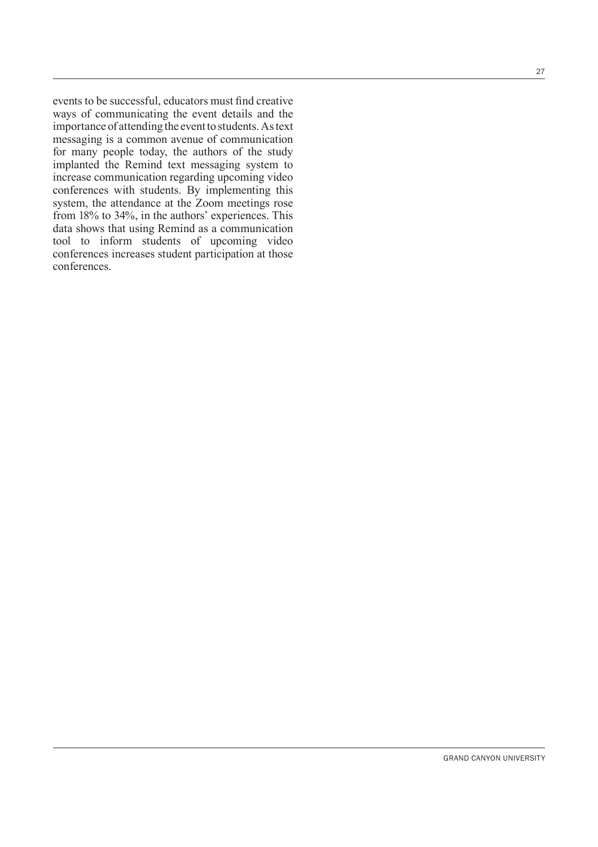events to be successful, educators must find creative ways of communicating the event details and the importance of attending the event to students. As text messaging is a common avenue of communication for many people today, the authors of the study implanted the Remind text messaging system to increase communication regarding upcoming video conferences with students. By implementing this system, the attendance at the Zoom meetings rose from 18% to 34%, in the authors' experiences. This data shows that using Remind as a communication tool to inform students of upcoming video conferences increases student participation at those conferences